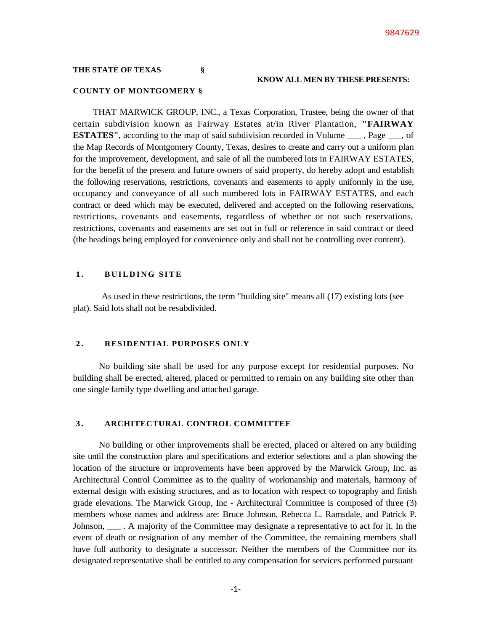## **THE STATE OF TEXAS §**

## **KNOW ALL MEN BY THESE PRESENTS:**

### **COUNTY OF MONTGOMERY §**

THAT MARWICK GROUP, INC., a Texas Corporation, Trustee, being the owner of that certain subdivision known as Fairway Estates at/in River Plantation, **"FAIRWAY ESTATES"**, according to the map of said subdivision recorded in Volume <sub>\_\_\_\_</sub>, Page <sub>\_\_\_</sub>, of the Map Records of Montgomery County, Texas, desires to create and carry out a uniform plan for the improvement, development, and sale of all the numbered lots in FAIRWAY ESTATES, for the benefit of the present and future owners of said property, do hereby adopt and establish the following reservations, restrictions, covenants and easements to apply uniformly in the use, occupancy and conveyance of all such numbered lots in FAIRWAY ESTATES, and each contract or deed which may be executed, delivered and accepted on the following reservations, restrictions, covenants and easements, regardless of whether or not such reservations, restrictions, covenants and easements are set out in full or reference in said contract or deed (the headings being employed for convenience only and shall not be controlling over content).

## 1. **BUILDING SITE**

As used in these restrictions, the term "building site" means all (17) existing lots (see plat). Said lots shall not be resubdivided.

### **2 . RESIDENTIAL PURPOSES ONLY**

No building site shall be used for any purpose except for residential purposes. No building shall be erected, altered, placed or permitted to remain on any building site other than one single family type dwelling and attached garage.

### **3 . ARCHITECTURAL CONTROL COMMITTEE**

No building or other improvements shall be erected, placed or altered on any building site until the construction plans and specifications and exterior selections and a plan showing the location of the structure or improvements have been approved by the Marwick Group, Inc. as Architectural Control Committee as to the quality of workmanship and materials, harmony of external design with existing structures, and as to location with respect to topography and finish grade elevations. The Marwick Group, Inc - Architectural Committee is composed of three (3) members whose names and address are: Bruce Johnson, Rebecca L. Ramsdale, and Patrick P. Johnson, \_\_\_ . A majority of the Committee may designate a representative to act for it. In the event of death or resignation of any member of the Committee, the remaining members shall have full authority to designate a successor. Neither the members of the Committee nor its designated representative shall be entitled to any compensation for services performed pursuant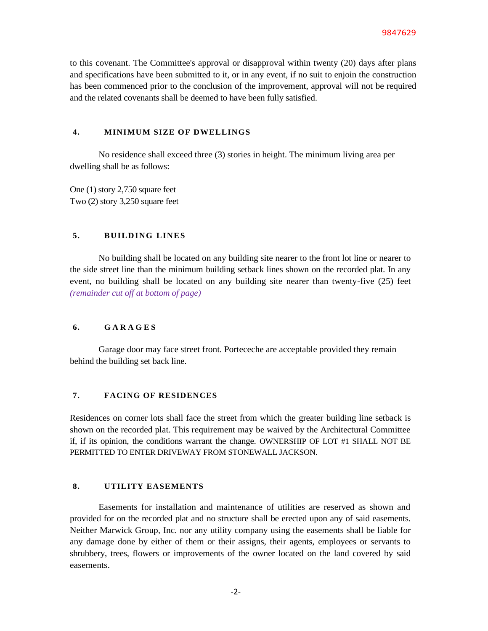to this covenant. The Committee's approval or disapproval within twenty (20) days after plans and specifications have been submitted to it, or in any event, if no suit to enjoin the construction has been commenced prior to the conclusion of the improvement, approval will not be required and the related covenants shall be deemed to have been fully satisfied.

### **4. MINIMUM SIZE OF DWELLINGS**

No residence shall exceed three (3) stories in height. The minimum living area per dwelling shall be as follows:

One (1) story 2,750 square feet Two (2) story 3,250 square feet

## 5. **BUILDING LINES**

No building shall be located on any building site nearer to the front lot line or nearer to the side street line than the minimum building setback lines shown on the recorded plat. In any event, no building shall be located on any building site nearer than twenty-five (25) feet *(remainder cut off at bottom of page)*

## **6. G A R A G E S**

Garage door may face street front. Porteceche are acceptable provided they remain behind the building set back line.

# **7. FACING OF RESIDENCES**

Residences on corner lots shall face the street from which the greater building line setback is shown on the recorded plat. This requirement may be waived by the Architectural Committee if, if its opinion, the conditions warrant the change. OWNERSHIP OF LOT #1 SHALL NOT BE PERMITTED TO ENTER DRIVEWAY FROM STONEWALL JACKSON.

# **8. UTILITY EASEMENTS**

Easements for installation and maintenance of utilities are reserved as shown and provided for on the recorded plat and no structure shall be erected upon any of said easements. Neither Marwick Group, Inc. nor any utility company using the easements shall be liable for any damage done by either of them or their assigns, their agents, employees or servants to shrubbery, trees, flowers or improvements of the owner located on the land covered by said easements.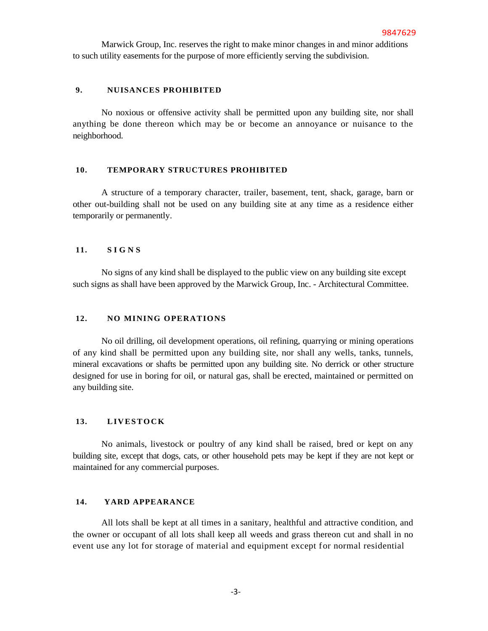Marwick Group, Inc. reserves the right to make minor changes in and minor additions to such utility easements for the purpose of more efficiently serving the subdivision.

## **9. NUISANCES PROHIBITED**

No noxious or offensive activity shall be permitted upon any building site, nor shall anything be done thereon which may be or become an annoyance or nuisance to the neighborhood.

### **10. TEMPORARY STRUCTURES PROHIBITED**

A structure of a temporary character, trailer, basement, tent, shack, garage, barn or other out-building shall not be used on any building site at any time as a residence either temporarily or permanently.

## **11. S I G N S**

No signs of any kind shall be displayed to the public view on any building site except such signs as shall have been approved by the Marwick Group, Inc. - Architectural Committee.

## **12. NO MINING OPERATIONS**

No oil drilling, oil development operations, oil refining, quarrying or mining operations of any kind shall be permitted upon any building site, nor shall any wells, tanks, tunnels, mineral excavations or shafts be permitted upon any building site. No derrick or other structure designed for use in boring for oil, or natural gas, shall be erected, maintained or permitted on any building site.

# 13. **LIVESTOCK**

No animals, livestock or poultry of any kind shall be raised, bred or kept on any building site, except that dogs, cats, or other household pets may be kept if they are not kept or maintained for any commercial purposes.

## **14. YARD APPEARANCE**

All lots shall be kept at all times in a sanitary, healthful and attractive condition, and the owner or occupant of all lots shall keep all weeds and grass thereon cut and shall in no event use any lot for storage of material and equipment except for normal residential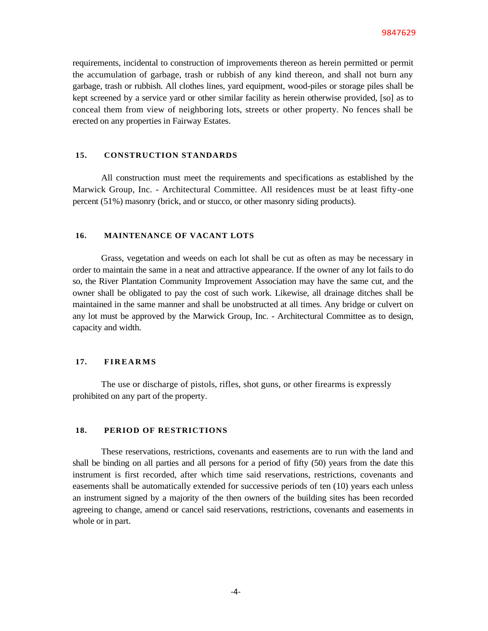requirements, incidental to construction of improvements thereon as herein permitted or permit the accumulation of garbage, trash or rubbish of any kind thereon, and shall not burn any garbage, trash or rubbish. All clothes lines, yard equipment, wood-piles or storage piles shall be kept screened by a service yard or other similar facility as herein otherwise provided, [so] as to conceal them from view of neighboring lots, streets or other property. No fences shall be erected on any properties in Fairway Estates.

## **15. CONSTRUCTION STANDARDS**

All construction must meet the requirements and specifications as established by the Marwick Group, Inc. - Architectural Committee. All residences must be at least fifty-one percent (51%) masonry (brick, and or stucco, or other masonry siding products).

## **16. MAINTENANCE OF VACANT LOTS**

Grass, vegetation and weeds on each lot shall be cut as often as may be necessary in order to maintain the same in a neat and attractive appearance. If the owner of any lot fails to do so, the River Plantation Community Improvement Association may have the same cut, and the owner shall be obligated to pay the cost of such work. Likewise, all drainage ditches shall be maintained in the same manner and shall be unobstructed at all times. Any bridge or culvert on any lot must be approved by the Marwick Group, Inc. - Architectural Committee as to design, capacity and width.

### **17. F I R E A R M S**

The use or discharge of pistols, rifles, shot guns, or other firearms is expressly prohibited on any part of the property.

#### **18. PERIOD OF RESTRICTIONS**

These reservations, restrictions, covenants and easements are to run with the land and shall be binding on all parties and all persons for a period of fifty (50) years from the date this instrument is first recorded, after which time said reservations, restrictions, covenants and easements shall be automatically extended for successive periods of ten (10) years each unless an instrument signed by a majority of the then owners of the building sites has been recorded agreeing to change, amend or cancel said reservations, restrictions, covenants and easements in whole or in part.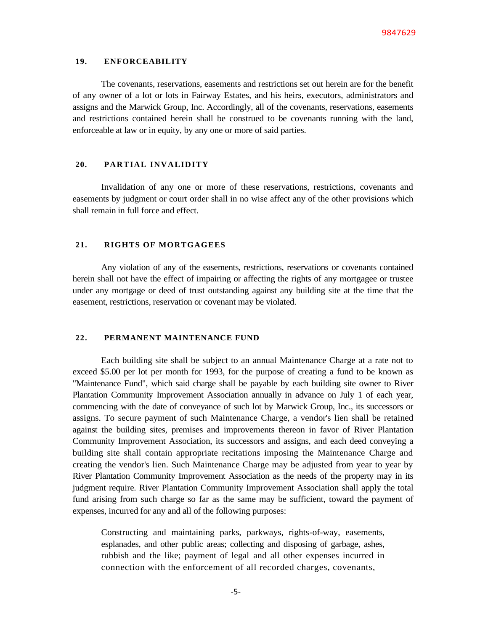### **19. ENFORCEABILITY**

The covenants, reservations, easements and restrictions set out herein are for the benefit of any owner of a lot or lots in Fairway Estates, and his heirs, executors, administrators and assigns and the Marwick Group, Inc. Accordingly, all of the covenants, reservations, easements and restrictions contained herein shall be construed to be covenants running with the land, enforceable at law or in equity, by any one or more of said parties.

## **20. PARTIAL INVALIDITY**

Invalidation of any one or more of these reservations, restrictions, covenants and easements by judgment or court order shall in no wise affect any of the other provisions which shall remain in full force and effect.

### **21. RIGHTS OF MORTGAGEES**

Any violation of any of the easements, restrictions, reservations or covenants contained herein shall not have the effect of impairing or affecting the rights of any mortgagee or trustee under any mortgage or deed of trust outstanding against any building site at the time that the easement, restrictions, reservation or covenant may be violated.

# **22. PERMANENT MAINTENANCE FUND**

Each building site shall be subject to an annual Maintenance Charge at a rate not to exceed \$5.00 per lot per month for 1993, for the purpose of creating a fund to be known as "Maintenance Fund", which said charge shall be payable by each building site owner to River Plantation Community Improvement Association annually in advance on July 1 of each year, commencing with the date of conveyance of such lot by Marwick Group, Inc., its successors or assigns. To secure payment of such Maintenance Charge, a vendor's lien shall be retained against the building sites, premises and improvements thereon in favor of River Plantation Community Improvement Association, its successors and assigns, and each deed conveying a building site shall contain appropriate recitations imposing the Maintenance Charge and creating the vendor's lien. Such Maintenance Charge may be adjusted from year to year by River Plantation Community Improvement Association as the needs of the property may in its judgment require. River Plantation Community Improvement Association shall apply the total fund arising from such charge so far as the same may be sufficient, toward the payment of expenses, incurred for any and all of the following purposes:

Constructing and maintaining parks, parkways, rights-of-way, easements, esplanades, and other public areas; collecting and disposing of garbage, ashes, rubbish and the like; payment of legal and all other expenses incurred in connection with the enforcement of all recorded charges, covenants,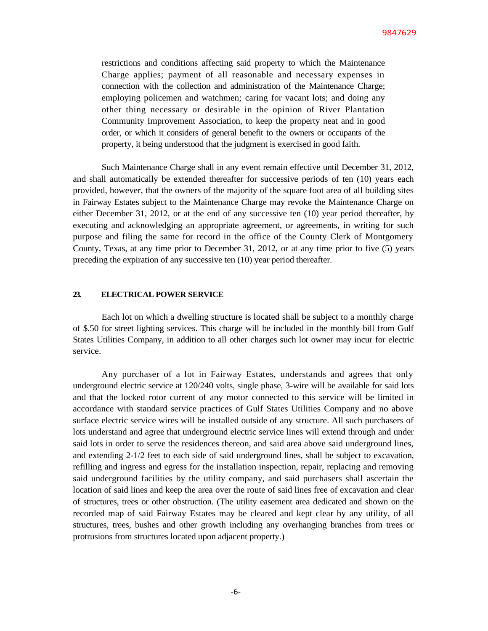restrictions and conditions affecting said property to which the Maintenance Charge applies; payment of all reasonable and necessary expenses in connection with the collection and administration of the Maintenance Charge; employing policemen and watchmen; caring for vacant lots; and doing any other thing necessary or desirable in the opinion of River Plantation Community Improvement Association, to keep the property neat and in good order, or which it considers of general benefit to the owners or occupants of the property, it being understood that the judgment is exercised in good faith.

Such Maintenance Charge shall in any event remain effective until December 31, 2012, and shall automatically be extended thereafter for successive periods of ten (10) years each provided, however, that the owners of the majority of the square foot area of all building sites in Fairway Estates subject to the Maintenance Charge may revoke the Maintenance Charge on either December 31, 2012, or at the end of any successive ten (10) year period thereafter, by executing and acknowledging an appropriate agreement, or agreements, in writing for such purpose and filing the same for record in the office of the County Clerk of Montgomery County, Texas, at any time prior to December 31, 2012, or at any time prior to five (5) years preceding the expiration of any successive ten (10) year period thereafter.

# **23. ELECTRICAL POWER SERVICE**

Each lot on which a dwelling structure is located shall be subject to a monthly charge of \$.50 for street lighting services. This charge will be included in the monthly bill from Gulf States Utilities Company, in addition to all other charges such lot owner may incur for electric service.

Any purchaser of a lot in Fairway Estates, understands and agrees that only underground electric service at 120/240 volts, single phase, 3-wire will be available for said lots and that the locked rotor current of any motor connected to this service will be limited in accordance with standard service practices of Gulf States Utilities Company and no above surface electric service wires will be installed outside of any structure. All such purchasers of lots understand and agree that underground electric service lines will extend through and under said lots in order to serve the residences thereon, and said area above said underground lines, and extending 2-1/2 feet to each side of said underground lines, shall be subject to excavation, refilling and ingress and egress for the installation inspection, repair, replacing and removing said underground facilities by the utility company, and said purchasers shall ascertain the location of said lines and keep the area over the route of said lines free of excavation and clear of structures, trees or other obstruction. (The utility easement area dedicated and shown on the recorded map of said Fairway Estates may be cleared and kept clear by any utility, of all structures, trees, bushes and other growth including any overhanging branches from trees or protrusions from structures located upon adjacent property.)